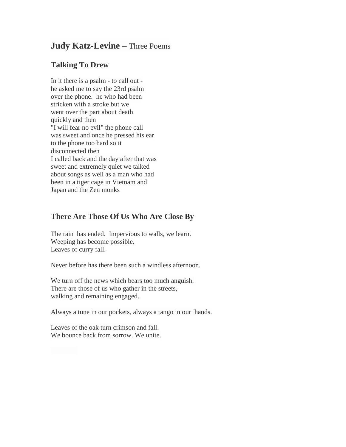## **Judy Katz-Levine** – Three Poems

## **Talking To Drew**

In it there is a psalm - to call out he asked me to say the 23rd psalm over the phone. he who had been stricken with a stroke but we went over the part about death quickly and then "I will fear no evil" the phone call was sweet and once he pressed his ear to the phone too hard so it disconnected then I called back and the day after that was sweet and extremely quiet we talked about songs as well as a man who had been in a tiger cage in Vietnam and Japan and the Zen monks

## **There Are Those Of Us Who Are Close By**

The rain has ended. Impervious to walls, we learn. Weeping has become possible. Leaves of curry fall.

Never before has there been such a windless afternoon.

We turn off the news which bears too much anguish. There are those of us who gather in the streets, walking and remaining engaged.

Always a tune in our pockets, always a tango in our hands.

Leaves of the oak turn crimson and fall. We bounce back from sorrow. We unite.